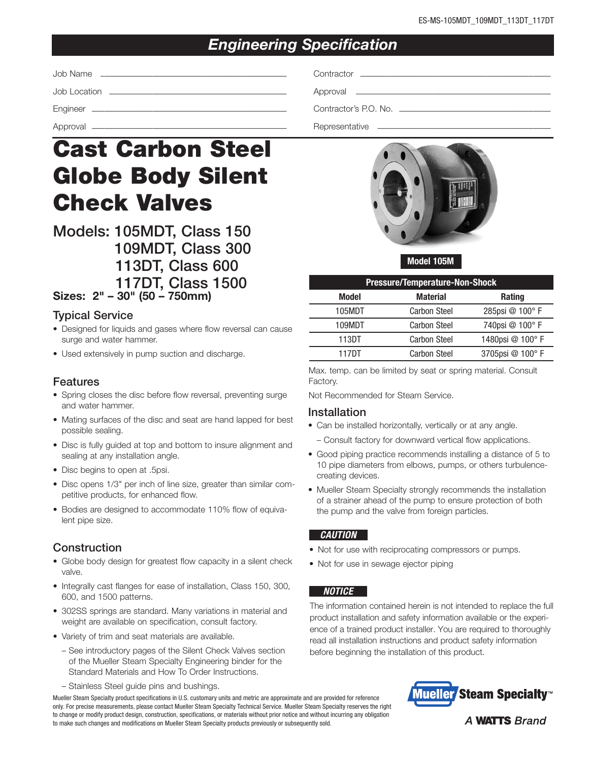# *Engineering Specification*

| Job Name |  |
|----------|--|
|          |  |
|          |  |
|          |  |

# Cast Carbon Steel Globe Body Silent Check Valves

Models: 105MDT, Class 150 109MDT, Class 300 113DT, Class 600 117DT, Class 1500

Sizes: 2" – 30" (50 – 750mm)

### Typical Service

- Designed for liquids and gases where flow reversal can cause surge and water hammer.
- Used extensively in pump suction and discharge.

#### Features

- Spring closes the disc before flow reversal, preventing surge and water hammer.
- Mating surfaces of the disc and seat are hand lapped for best possible sealing.
- Disc is fully guided at top and bottom to insure alignment and sealing at any installation angle.
- Disc begins to open at .5psi.
- Disc opens 1/3" per inch of line size, greater than similar competitive products, for enhanced flow.
- Bodies are designed to accommodate 110% flow of equivalent pipe size.

# Construction

- Globe body design for greatest flow capacity in a silent check valve.
- Integrally cast flanges for ease of installation, Class 150, 300, 600, and 1500 patterns.
- 302SS springs are standard. Many variations in material and weight are available on specification, consult factory.
- Variety of trim and seat materials are available.
	- See introductory pages of the Silent Check Valves section of the Mueller Steam Specialty Engineering binder for the Standard Materials and How To Order Instructions.
	- Stainless Steel guide pins and bushings.

Mueller Steam Specialty product specifications in U.S. customary units and metric are approximate and are provided for reference only. For precise measurements, please contact Mueller Steam Specialty Technical Service. Mueller Steam Specialty reserves the right to change or modify product design, construction, specifications, or materials without prior notice and without incurring any obligation to make such changes and modifications on Mueller Steam Specialty products previously or subsequently sold.



Model 105M

| <b>Pressure/Temperature-Non-Shock</b> |                                  |                 |  |  |
|---------------------------------------|----------------------------------|-----------------|--|--|
| Model                                 | <b>Material</b><br><b>Rating</b> |                 |  |  |
| 105MDT                                | <b>Carbon Steel</b>              | 285psi @ 100°F  |  |  |
| 109MDT                                | <b>Carbon Steel</b>              | 740psi @ 100° F |  |  |
| 113DT                                 | <b>Carbon Steel</b>              | 1480psi @ 100°F |  |  |
| 117DT                                 | <b>Carbon Steel</b>              | 3705psi @ 100°F |  |  |

Max. temp. can be limited by seat or spring material. Consult Factory.

Not Recommended for Steam Service.

#### Installation

- Can be installed horizontally, vertically or at any angle.
	- Consult factory for downward vertical flow applications.
- Good piping practice recommends installing a distance of 5 to 10 pipe diameters from elbows, pumps, or others turbulencecreating devices.
- Mueller Steam Specialty strongly recommends the installation of a strainer ahead of the pump to ensure protection of both the pump and the valve from foreign particles.

#### *CAUTION*

- Not for use with reciprocating compressors or pumps.
- Not for use in sewage ejector piping

#### *NOTICE*

The information contained herein is not intended to replace the full product installation and safety information available or the experience of a trained product installer. You are required to thoroughly read all installation instructions and product safety information before beginning the installation of this product.



**A WATTS Brand**